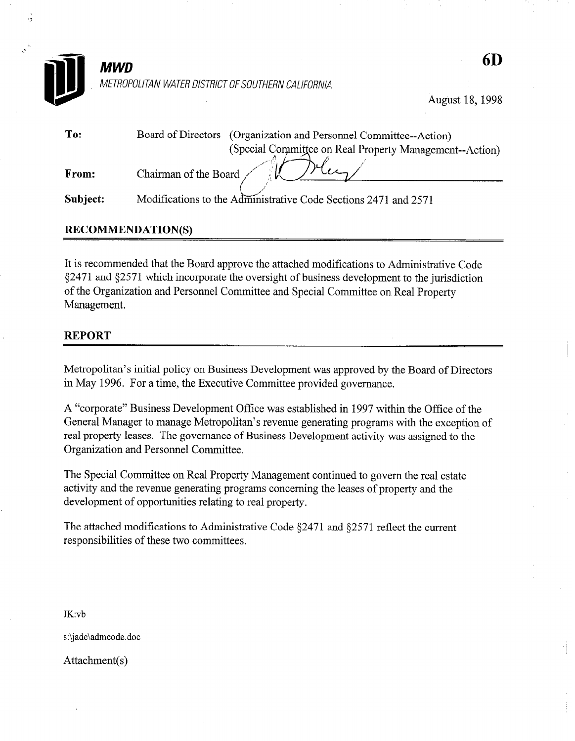

August 18, 1998

| To:      | Board of Directors (Organization and Personnel Committee--Action) |
|----------|-------------------------------------------------------------------|
|          | (Special Committee on Real Property Management--Action)           |
| From:    | Chairman of the Board                                             |
| Subject: | Modifications to the Administrative Code Sections 2471 and 2571   |

# RECOMMENDATION(S)

It is recommended that the Board approve the attached modifications to Administrative Code 52471 and \$2571 which incorporate the oversight of business development to the jurisdiction of the Organization and Personnel Committee and Special Committee on Real Property Management.

# REPORT

Metropolitan's initial policy on Business Development was approved by the Board of Directors in May 1996. For a time, the Executive Committee provided governance.

A "corporate" Business Development Office was established in 1997 within the Office of the General Manager to manage Metropolitan's revenue generating programs with the exception of real property leases. The governance of Business Development activity was assigned to the Organization and Personnel Committee.

The Special Committee on Real Property Management continued to govern the real estate activity and the revenue generating programs concerning the leases of property and the development of opportunities relating to real property.

The attached modifications to Administrative Code §2471 and §2571 reflect the current responsibilities of these two committees.

JK:vb

s:\jade\admcode.doc

Attachment(s)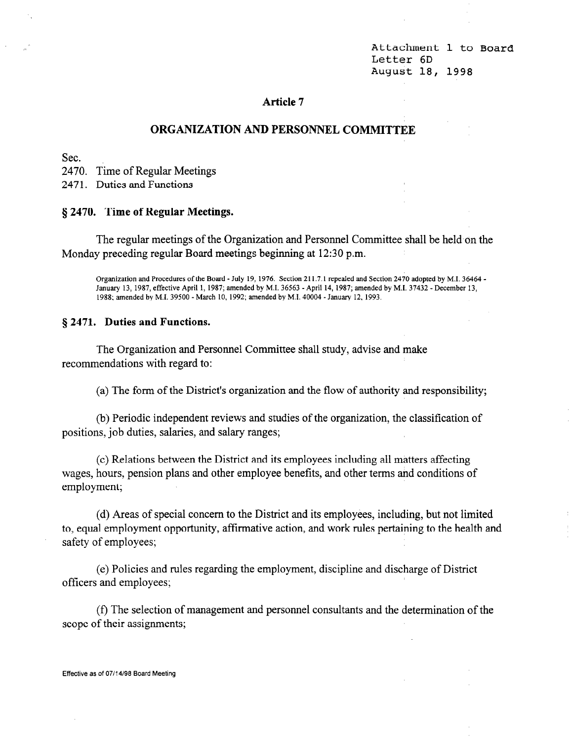Attachment 1 to Board Letter 6D August 18, 1998

# Article 7

### ORGANIZATION AND PERSONNEL COMMITTEE

Sec.

2470. Time of Regular Meetings

2471. Duties and Functions

### 9 2470. Time of Regular Meetings.

The regular meetings of the Organization and Personnel Committee shall be held on the Monday preceding regular Board meetings beginning at 12:30 p.m.

Organization and Procedures of the Board - July 19, 1976. Section 211.7.1 repealed and Section 2470 adopted by M.I. 36464 - January 13, 1987, effective April 1, 1987; amended by M.I. 36563 -April 14, 1987; amended by M.I. 37432 - December 13, 1988; amended by M.I. 39500 -March 10, 1992; amended by M.I. 40004 -January 12,1993.

#### § 2471. Duties and Functions.

The Organization and Personnel Committee shall study, advise and make recommendations with regard to:

(a) The form of the District's organization and the flow of authority and responsibility;

(b) Periodic independent reviews and studies of the organization, the classification of positions, job duties, salaries, and salary ranges;

(c) Relations between the District and its employees including all matters affecting wages, hours, pension plans and other employee benefits, and other terms and conditions of employment;

(d) Areas of special concern to the District and its employees, including, but not limited to, equal employment opportunity, affirmative action, and work rules pertaining to the health and safety of employees;

(e) Policies and rules regarding the employment, discipline and discharge of District officers and employees;

(f) The selection of management and personnel consultants and the determination of the scope of their assignments;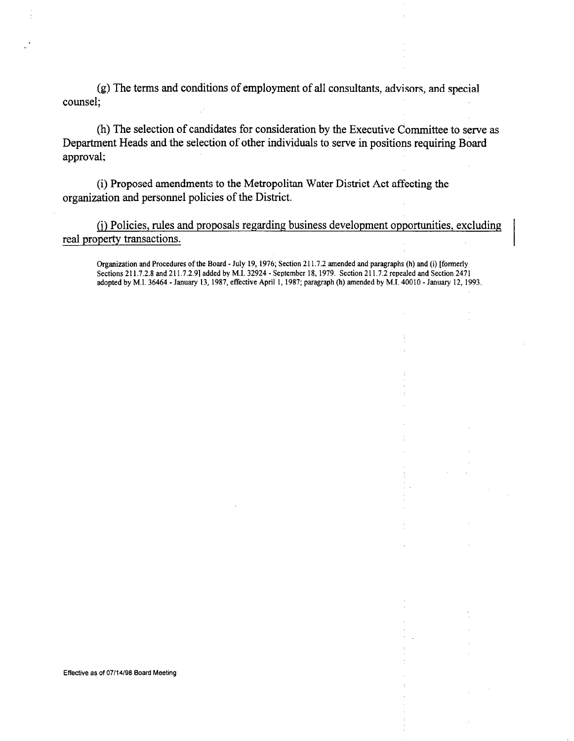(g) The terms and conditions of employment of all consultants, advisors, and special counsel;

(h) The selection of candidates for consideration by the Executive Committee to serve as Department Heads and the selection of other individuals to serve in positions requiring Board approval;

(i) Proposed amendments to the Metropolitan Water District Act affecting the organization and personnel policies of the District.

(j) Policies, rules and proposals regarding business development opportunities, excluding real property transactions.

Organization and Procedures of the Board - July 19, 1976; Section 211.7.2 amended and paragraphs (h) and (i) [formerly Sections 211.7.2.8 and 211.7.2.9] added by M.I. 32924 - September 18, 1979. Section 211.7.2 repealed and Section 2471 adopted by M.I. 36464 -January 13, 1987, effective April 1, 1987; paragraph(h) amended by M.I. 40010 -January 12, 1993.

Effective as of 07/14/98 Board Meeting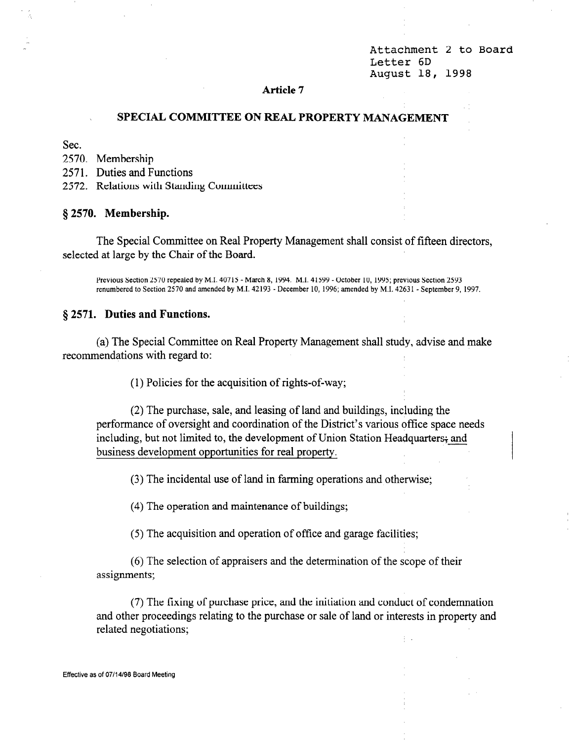Attachment 2 to Board Letter 6D August 18, 1998

#### Article 7

# SPECIAL COMMITTEE ON REAL, PROPERTY MANAGEMENT

Sec.

2570. Membership

2571. Duties and Functions

2572. Relations with Standing Committees

§ 2570. Membership.

The Special Committee on Real Property Management shall consist of fifteen directors, selected at large by the Chair of the Board.

Previous Section 2570 repealed by M.I. 40715 - March 8, 1994. M.I. 41599 -October 10, 1995; previous Section 2593 renumbered to Section 2570 and amended by M.I. 42193 - December 10, 1996; amended by M.I. 42631 - September 9, 1997.

#### 8 2571. Duties and Functions.

(a) The Special Committee on Real Property Management shall study, advise and make recommendations with regard to:

(1) Policies for the acquisition of rights-of-way;

(2) The purchase, sale, and leasing of land and buildings, including the performance of oversight and coordination of the District's various office space needs including, but not limited to, the development of Union Station Headquarters; and business development opportunities for real property.

(3) The incidental use of land in farming operations and otherwise;

(4) The operation and maintenance of buildings;

(5) The acquisition and operation of office and garage facilities;

(6) The selection of appraisers and the determination of the scope of their assignments;

(7) The fixing of purchase price, and the initiation and conduct of condemnation and other proceedings relating to the purchase or sale of land or interests in property and related negotiations;